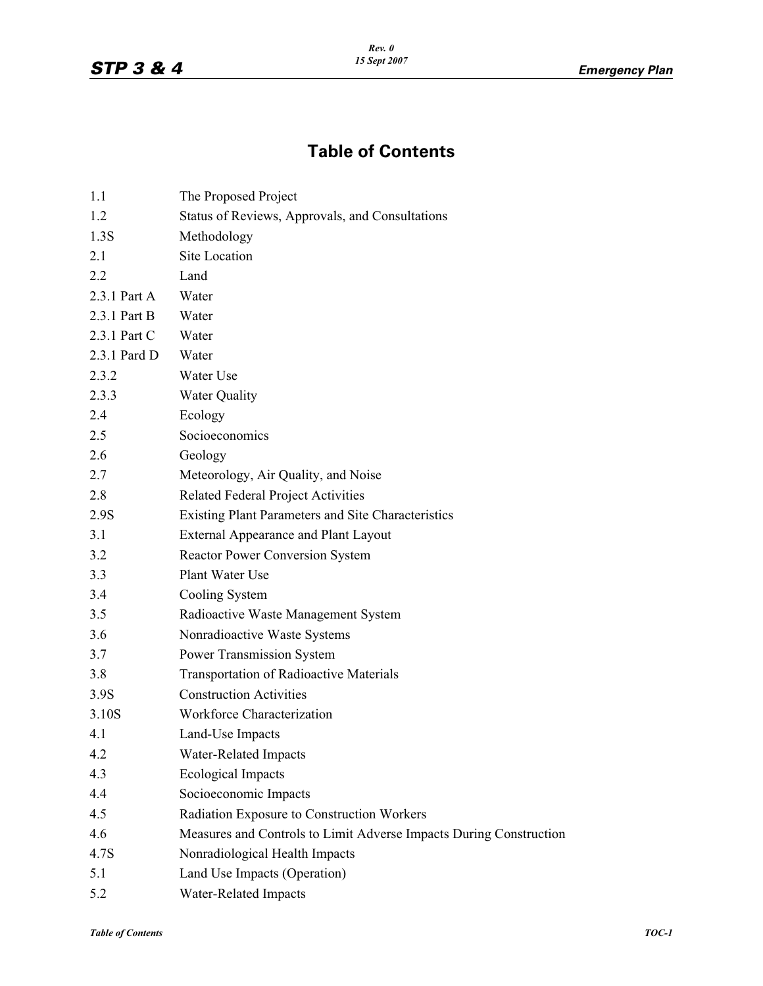## **Table of Contents**

| 1.1          | The Proposed Project                                               |
|--------------|--------------------------------------------------------------------|
| 1.2          | Status of Reviews, Approvals, and Consultations                    |
| 1.3S         | Methodology                                                        |
| 2.1          | Site Location                                                      |
| 2.2          | Land                                                               |
| 2.3.1 Part A | Water                                                              |
| 2.3.1 Part B | Water                                                              |
| 2.3.1 Part C | Water                                                              |
| 2.3.1 Pard D | Water                                                              |
| 2.3.2        | Water Use                                                          |
| 2.3.3        | <b>Water Quality</b>                                               |
| 2.4          | Ecology                                                            |
| 2.5          | Socioeconomics                                                     |
| 2.6          | Geology                                                            |
| 2.7          | Meteorology, Air Quality, and Noise                                |
| 2.8          | Related Federal Project Activities                                 |
| 2.9S         | Existing Plant Parameters and Site Characteristics                 |
| 3.1          | <b>External Appearance and Plant Layout</b>                        |
| 3.2          | <b>Reactor Power Conversion System</b>                             |
| 3.3          | Plant Water Use                                                    |
| 3.4          | Cooling System                                                     |
| 3.5          | Radioactive Waste Management System                                |
| 3.6          | Nonradioactive Waste Systems                                       |
| 3.7          | <b>Power Transmission System</b>                                   |
| 3.8          | <b>Transportation of Radioactive Materials</b>                     |
| 3.9S         | <b>Construction Activities</b>                                     |
| 3.10S        | Workforce Characterization                                         |
| 4.1          | Land-Use Impacts                                                   |
| 4.2          | Water-Related Impacts                                              |
| 4.3          | <b>Ecological Impacts</b>                                          |
| 4.4          | Socioeconomic Impacts                                              |
| 4.5          | Radiation Exposure to Construction Workers                         |
| 4.6          | Measures and Controls to Limit Adverse Impacts During Construction |
| 4.7S         | Nonradiological Health Impacts                                     |
| 5.1          | Land Use Impacts (Operation)                                       |
| 5.2          | Water-Related Impacts                                              |
|              |                                                                    |